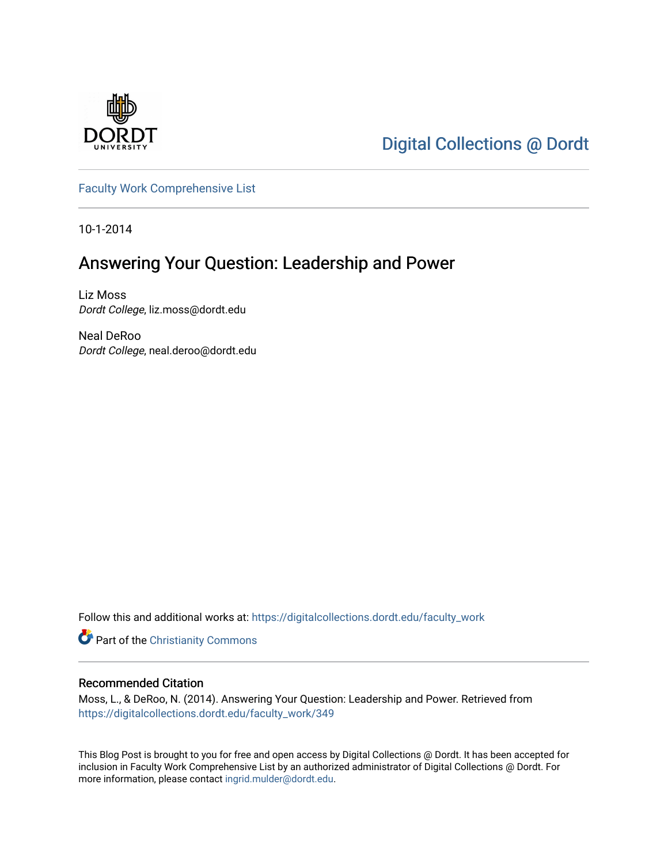

[Digital Collections @ Dordt](https://digitalcollections.dordt.edu/) 

[Faculty Work Comprehensive List](https://digitalcollections.dordt.edu/faculty_work)

10-1-2014

## Answering Your Question: Leadership and Power

Liz Moss Dordt College, liz.moss@dordt.edu

Neal DeRoo Dordt College, neal.deroo@dordt.edu

Follow this and additional works at: [https://digitalcollections.dordt.edu/faculty\\_work](https://digitalcollections.dordt.edu/faculty_work?utm_source=digitalcollections.dordt.edu%2Ffaculty_work%2F349&utm_medium=PDF&utm_campaign=PDFCoverPages) 

Part of the [Christianity Commons](http://network.bepress.com/hgg/discipline/1181?utm_source=digitalcollections.dordt.edu%2Ffaculty_work%2F349&utm_medium=PDF&utm_campaign=PDFCoverPages) 

### Recommended Citation

Moss, L., & DeRoo, N. (2014). Answering Your Question: Leadership and Power. Retrieved from [https://digitalcollections.dordt.edu/faculty\\_work/349](https://digitalcollections.dordt.edu/faculty_work/349?utm_source=digitalcollections.dordt.edu%2Ffaculty_work%2F349&utm_medium=PDF&utm_campaign=PDFCoverPages) 

This Blog Post is brought to you for free and open access by Digital Collections @ Dordt. It has been accepted for inclusion in Faculty Work Comprehensive List by an authorized administrator of Digital Collections @ Dordt. For more information, please contact [ingrid.mulder@dordt.edu.](mailto:ingrid.mulder@dordt.edu)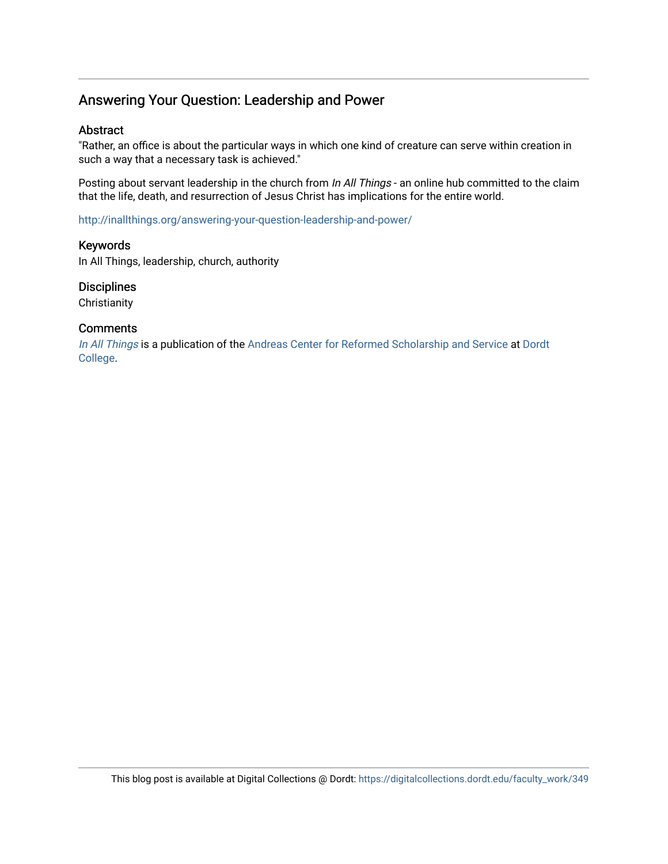### Answering Your Question: Leadership and Power

### Abstract

"Rather, an office is about the particular ways in which one kind of creature can serve within creation in such a way that a necessary task is achieved."

Posting about servant leadership in the church from In All Things - an online hub committed to the claim that the life, death, and resurrection of Jesus Christ has implications for the entire world.

<http://inallthings.org/answering-your-question-leadership-and-power/>

### Keywords

In All Things, leadership, church, authority

### **Disciplines**

**Christianity** 

### **Comments**

[In All Things](http://inallthings.org/) is a publication of the [Andreas Center for Reformed Scholarship and Service](http://www.dordt.edu/services_support/andreas_center/) at Dordt [College](http://www.dordt.edu/).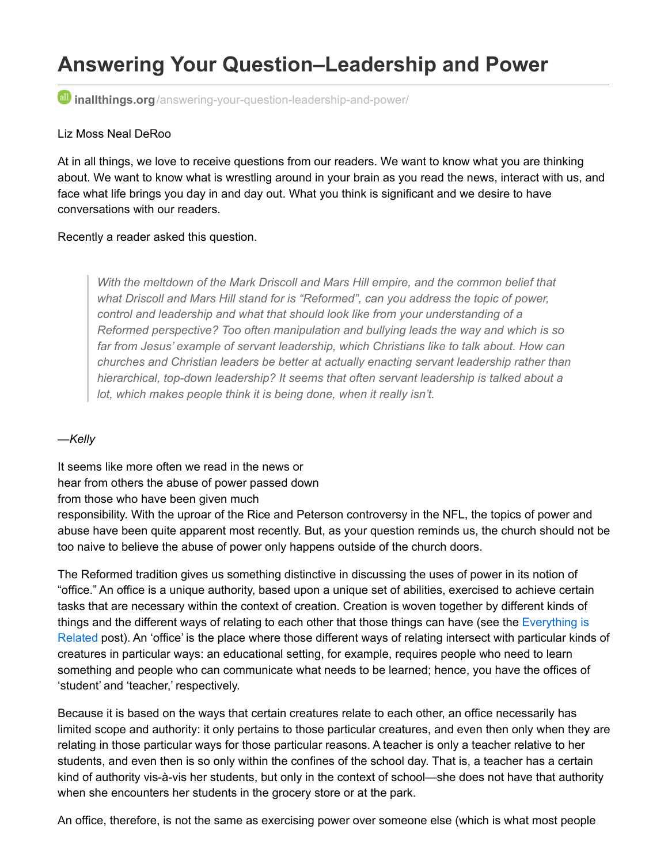# **Answering Your Question–Leadership and Power**

**inallthings.org**[/answering-your-question-leadership-and-power/](http://inallthings.org/answering-your-question-leadership-and-power/)

### Liz Moss Neal DeRoo

At in all things, we love to receive questions from our readers. We want to know what you are thinking about. We want to know what is wrestling around in your brain as you read the news, interact with us, and face what life brings you day in and day out. What you think is significant and we desire to have conversations with our readers.

### Recently a reader asked this question.

*With the meltdown of the Mark Driscoll and Mars Hill empire, and the common belief that what Driscoll and Mars Hill stand for is "Reformed", can you address the topic of power, control and leadership and what that should look like from your understanding of a Reformed perspective? Too often manipulation and bullying leads the way and which is so far from Jesus' example of servant leadership, which Christians like to talk about. How can churches and Christian leaders be better at actually enacting servant leadership rather than hierarchical, top-down leadership? It seems that often servant leadership is talked about a lot, which makes people think it is being done, when it really isn't.*

### *—Kelly*

It seems like more often we read in the news or hear from others the abuse of power passed down

### from those who have been given much

responsibility. With the uproar of the Rice and Peterson controversy in the NFL, the topics of power and abuse have been quite apparent most recently. But, as your question reminds us, the church should not be too naive to believe the abuse of power only happens outside of the church doors.

The Reformed tradition gives us something distinctive in discussing the uses of power in its notion of "office." An office is a unique authority, based upon a unique set of abilities, exercised to achieve certain tasks that are necessary within the context of creation. Creation is woven together by different kinds of [things and the different ways of relating to each other that those things can have \(see the Everything is](http://inallthings.org/everything-is-related/) Related post). An 'office' is the place where those different ways of relating intersect with particular kinds of creatures in particular ways: an educational setting, for example, requires people who need to learn something and people who can communicate what needs to be learned; hence, you have the offices of 'student' and 'teacher,' respectively.

Because it is based on the ways that certain creatures relate to each other, an office necessarily has limited scope and authority: it only pertains to those particular creatures, and even then only when they are relating in those particular ways for those particular reasons. A teacher is only a teacher relative to her students, and even then is so only within the confines of the school day. That is, a teacher has a certain kind of authority vis-à-vis her students, but only in the context of school—she does not have that authority when she encounters her students in the grocery store or at the park.

An office, therefore, is not the same as exercising power over someone else (which is what most people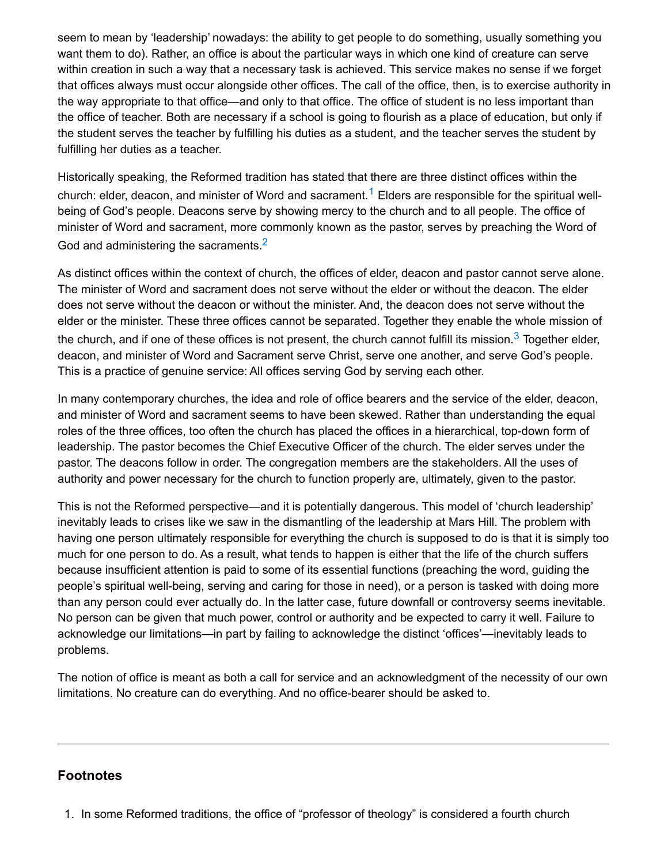seem to mean by 'leadership' nowadays: the ability to get people to do something, usually something you want them to do). Rather, an office is about the particular ways in which one kind of creature can serve within creation in such a way that a necessary task is achieved. This service makes no sense if we forget that offices always must occur alongside other offices. The call of the office, then, is to exercise authority in the way appropriate to that office—and only to that office. The office of student is no less important than the office of teacher. Both are necessary if a school is going to flourish as a place of education, but only if the student serves the teacher by fulfilling his duties as a student, and the teacher serves the student by fulfilling her duties as a teacher.

Historically speaking, the Reformed tradition has stated that there are three distinct offices within the church: elder, deacon, and minister of Word and sacrament.<sup>[1](http://inallthings.org/answering-your-question-leadership-and-power/#fn1-1754)</sup> Elders are responsible for the spiritual wellbeing of God's people. Deacons serve by showing mercy to the church and to all people. The office of minister of Word and sacrament, more commonly known as the pastor, serves by preaching the Word of God and administering the sacraments. $2$ 

As distinct offices within the context of church, the offices of elder, deacon and pastor cannot serve alone. The minister of Word and sacrament does not serve without the elder or without the deacon. The elder does not serve without the deacon or without the minister. And, the deacon does not serve without the elder or the minister. These three offices cannot be separated. Together they enable the whole mission of the church, and if one of these offices is not present, the church cannot fulfill its mission.<sup>[3](http://inallthings.org/answering-your-question-leadership-and-power/#fn3-1754)</sup> Together elder, deacon, and minister of Word and Sacrament serve Christ, serve one another, and serve God's people. This is a practice of genuine service: All offices serving God by serving each other.

In many contemporary churches, the idea and role of office bearers and the service of the elder, deacon, and minister of Word and sacrament seems to have been skewed. Rather than understanding the equal roles of the three offices, too often the church has placed the offices in a hierarchical, top-down form of leadership. The pastor becomes the Chief Executive Officer of the church. The elder serves under the pastor. The deacons follow in order. The congregation members are the stakeholders. All the uses of authority and power necessary for the church to function properly are, ultimately, given to the pastor.

This is not the Reformed perspective—and it is potentially dangerous. This model of 'church leadership' inevitably leads to crises like we saw in the dismantling of the leadership at Mars Hill. The problem with having one person ultimately responsible for everything the church is supposed to do is that it is simply too much for one person to do. As a result, what tends to happen is either that the life of the church suffers because insufficient attention is paid to some of its essential functions (preaching the word, guiding the people's spiritual well-being, serving and caring for those in need), or a person is tasked with doing more than any person could ever actually do. In the latter case, future downfall or controversy seems inevitable. No person can be given that much power, control or authority and be expected to carry it well. Failure to acknowledge our limitations—in part by failing to acknowledge the distinct 'offices'—inevitably leads to problems.

The notion of office is meant as both a call for service and an acknowledgment of the necessity of our own limitations. No creature can do everything. And no office-bearer should be asked to.

### **Footnotes**

1. In some Reformed traditions, the office of "professor of theology" is considered a fourth church